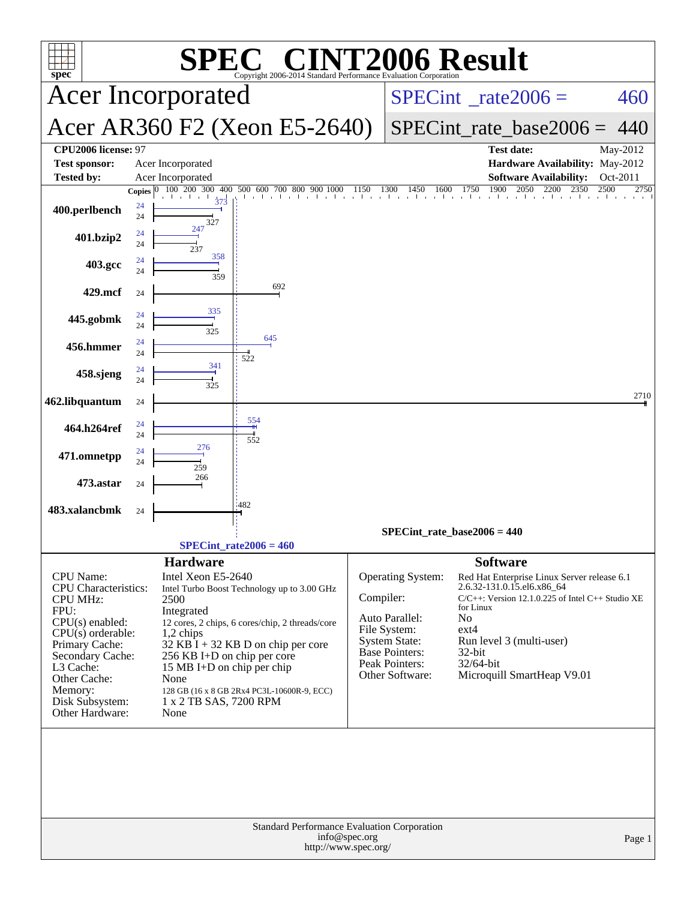| <b>T2006 Result</b><br>$\Gamma^{\text{\tiny{(B)}}}$ $\Gamma$<br>spec <sup>®</sup><br>Copyright 2006-2014 Standard Performance Evaluation Corporation                                                                                |                    |                                                                                                                                                                                 |                                                                                                                                                                                      |           |                                                                                                                                    |                                                                                                                                                                                                                                                                                      |                      |
|-------------------------------------------------------------------------------------------------------------------------------------------------------------------------------------------------------------------------------------|--------------------|---------------------------------------------------------------------------------------------------------------------------------------------------------------------------------|--------------------------------------------------------------------------------------------------------------------------------------------------------------------------------------|-----------|------------------------------------------------------------------------------------------------------------------------------------|--------------------------------------------------------------------------------------------------------------------------------------------------------------------------------------------------------------------------------------------------------------------------------------|----------------------|
|                                                                                                                                                                                                                                     |                    | <b>Acer Incorporated</b>                                                                                                                                                        |                                                                                                                                                                                      |           | $SPECint^{\circ}$ <sub>_rate2006</sub> =                                                                                           | 460                                                                                                                                                                                                                                                                                  |                      |
|                                                                                                                                                                                                                                     |                    |                                                                                                                                                                                 | Acer AR360 F2 (Xeon E5-2640)                                                                                                                                                         |           | $SPECint_rate\_base2006 =$                                                                                                         | 440                                                                                                                                                                                                                                                                                  |                      |
| CPU2006 license: 97<br><b>Test sponsor:</b><br><b>Tested by:</b>                                                                                                                                                                    |                    | Acer Incorporated<br>Acer Incorporated                                                                                                                                          |                                                                                                                                                                                      |           |                                                                                                                                    | Test date:<br>Hardware Availability: May-2012<br><b>Software Availability:</b>                                                                                                                                                                                                       | May-2012<br>Oct-2011 |
|                                                                                                                                                                                                                                     | Copies $ 0\rangle$ | 300<br>400<br>100 200                                                                                                                                                           | 500<br>700 800<br>600<br>900                                                                                                                                                         | 1150      | 1300<br>1450<br>1600                                                                                                               | 1900<br>1750<br>2050<br>2350<br>2200                                                                                                                                                                                                                                                 | 2500<br>2750         |
| 400.perlbench                                                                                                                                                                                                                       | 24<br>24           | 327                                                                                                                                                                             |                                                                                                                                                                                      |           |                                                                                                                                    |                                                                                                                                                                                                                                                                                      |                      |
| 401.bzip2                                                                                                                                                                                                                           | 24<br>24           | 247                                                                                                                                                                             |                                                                                                                                                                                      |           |                                                                                                                                    |                                                                                                                                                                                                                                                                                      |                      |
| 403.gcc                                                                                                                                                                                                                             | 24<br>24           | 358<br>359                                                                                                                                                                      |                                                                                                                                                                                      |           |                                                                                                                                    |                                                                                                                                                                                                                                                                                      |                      |
| 429.mcf                                                                                                                                                                                                                             | 24                 |                                                                                                                                                                                 | 692                                                                                                                                                                                  |           |                                                                                                                                    |                                                                                                                                                                                                                                                                                      |                      |
| 445.gobmk                                                                                                                                                                                                                           | 24<br>24           | 335<br>325                                                                                                                                                                      |                                                                                                                                                                                      |           |                                                                                                                                    |                                                                                                                                                                                                                                                                                      |                      |
| 456.hmmer                                                                                                                                                                                                                           | 24<br>24           |                                                                                                                                                                                 | 645<br>522                                                                                                                                                                           |           |                                                                                                                                    |                                                                                                                                                                                                                                                                                      |                      |
| 458.sjeng                                                                                                                                                                                                                           | 24<br>24           | 341                                                                                                                                                                             |                                                                                                                                                                                      |           |                                                                                                                                    |                                                                                                                                                                                                                                                                                      |                      |
| 462.libquantum                                                                                                                                                                                                                      | 24                 |                                                                                                                                                                                 |                                                                                                                                                                                      |           |                                                                                                                                    |                                                                                                                                                                                                                                                                                      | 2710                 |
| 464.h264ref                                                                                                                                                                                                                         | 24<br>24           |                                                                                                                                                                                 | 554<br>552                                                                                                                                                                           |           |                                                                                                                                    |                                                                                                                                                                                                                                                                                      |                      |
| 471.omnetpp                                                                                                                                                                                                                         | 24<br>24           | 276<br>259                                                                                                                                                                      |                                                                                                                                                                                      |           |                                                                                                                                    |                                                                                                                                                                                                                                                                                      |                      |
| 473.astar                                                                                                                                                                                                                           | 24                 | 266                                                                                                                                                                             |                                                                                                                                                                                      |           |                                                                                                                                    |                                                                                                                                                                                                                                                                                      |                      |
| 483.xalancbmk                                                                                                                                                                                                                       | 24                 |                                                                                                                                                                                 | :482                                                                                                                                                                                 |           |                                                                                                                                    |                                                                                                                                                                                                                                                                                      |                      |
|                                                                                                                                                                                                                                     |                    |                                                                                                                                                                                 |                                                                                                                                                                                      |           |                                                                                                                                    | $SPECint_rate_base2006 = 440$                                                                                                                                                                                                                                                        |                      |
|                                                                                                                                                                                                                                     |                    | $SPECint_rate2006 = 460$                                                                                                                                                        |                                                                                                                                                                                      |           |                                                                                                                                    |                                                                                                                                                                                                                                                                                      |                      |
| CPU Name:<br><b>CPU</b> Characteristics:<br><b>CPU MHz:</b><br>FPU:<br>$CPU(s)$ enabled:<br>$CPU(s)$ orderable:<br>Primary Cache:<br>Secondary Cache:<br>L3 Cache:<br>Other Cache:<br>Memory:<br>Disk Subsystem:<br>Other Hardware: |                    | <b>Hardware</b><br>Intel Xeon E5-2640<br>2500<br>Integrated<br>1,2 chips<br>256 KB I+D on chip per core<br>15 MB I+D on chip per chip<br>None<br>1 x 2 TB SAS, 7200 RPM<br>None | Intel Turbo Boost Technology up to 3.00 GHz<br>12 cores, 2 chips, 6 cores/chip, 2 threads/core<br>$32$ KB I + 32 KB D on chip per core<br>128 GB (16 x 8 GB 2Rx4 PC3L-10600R-9, ECC) | Compiler: | Operating System:<br>Auto Parallel:<br>File System:<br><b>System State:</b><br>Base Pointers:<br>Peak Pointers:<br>Other Software: | <b>Software</b><br>Red Hat Enterprise Linux Server release 6.1<br>2.6.32-131.0.15.el6.x86_64<br>$C/C++$ : Version 12.1.0.225 of Intel $C++$ Studio XE<br>for Linux<br>N <sub>o</sub><br>$ext{4}$<br>Run level 3 (multi-user)<br>$32$ -bit<br>32/64-bit<br>Microquill SmartHeap V9.01 |                      |
| Standard Performance Evaluation Corporation<br>info@spec.org<br>Page 1<br>http://www.spec.org/                                                                                                                                      |                    |                                                                                                                                                                                 |                                                                                                                                                                                      |           |                                                                                                                                    |                                                                                                                                                                                                                                                                                      |                      |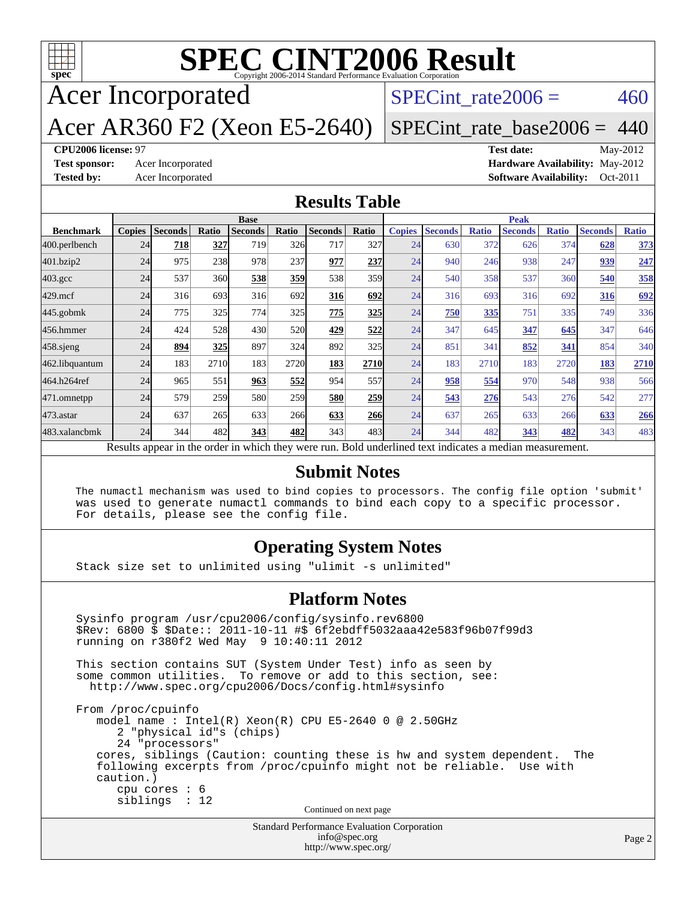

# **[SPEC CINT2006 Result](http://www.spec.org/auto/cpu2006/Docs/result-fields.html#SPECCINT2006Result)**

Acer Incorporated

SPECint rate $2006 = 460$ 

Acer AR360 F2 (Xeon E5-2640)

[SPECint\\_rate\\_base2006 =](http://www.spec.org/auto/cpu2006/Docs/result-fields.html#SPECintratebase2006) 440

#### **[CPU2006 license:](http://www.spec.org/auto/cpu2006/Docs/result-fields.html#CPU2006license)** 97 **[Test date:](http://www.spec.org/auto/cpu2006/Docs/result-fields.html#Testdate)** May-2012

**[Test sponsor:](http://www.spec.org/auto/cpu2006/Docs/result-fields.html#Testsponsor)** Acer Incorporated **[Hardware Availability:](http://www.spec.org/auto/cpu2006/Docs/result-fields.html#HardwareAvailability)** May-2012 **[Tested by:](http://www.spec.org/auto/cpu2006/Docs/result-fields.html#Testedby)** Acer Incorporated **[Software Availability:](http://www.spec.org/auto/cpu2006/Docs/result-fields.html#SoftwareAvailability)** Oct-2011

#### **[Results Table](http://www.spec.org/auto/cpu2006/Docs/result-fields.html#ResultsTable)**

|                                                                                                          | <b>Base</b>   |                |       |                |       |                |            | <b>Peak</b>   |                |              |                |              |                |              |
|----------------------------------------------------------------------------------------------------------|---------------|----------------|-------|----------------|-------|----------------|------------|---------------|----------------|--------------|----------------|--------------|----------------|--------------|
| <b>Benchmark</b>                                                                                         | <b>Copies</b> | <b>Seconds</b> | Ratio | <b>Seconds</b> | Ratio | <b>Seconds</b> | Ratio      | <b>Copies</b> | <b>Seconds</b> | <b>Ratio</b> | <b>Seconds</b> | <b>Ratio</b> | <b>Seconds</b> | <b>Ratio</b> |
| 400.perlbench                                                                                            | 24            | 718            | 327   | 719            | 326   | 717            | 327        | 24            | 630            | 372          | 626            | 374          | 628            | 373          |
| 401.bzip2                                                                                                | 24            | 975            | 238   | 978            | 237   | 977            | 237        | 24            | 940            | 246          | 938            | 247          | 939            | 247          |
| $403.\mathrm{gcc}$                                                                                       | 24            | 537            | 360   | 538            | 359   | 538            | 359        | 24            | 540            | 358          | 537            | 360          | 540            | 358          |
| $429$ .mcf                                                                                               | 24            | 316            | 693   | 316            | 692   | 316            | 692        | 24            | 316            | 693          | 316            | 692          | 316            | 692          |
| $445$ .gobmk                                                                                             | 24            | 775            | 325   | 774            | 325   | 775            | 325        | 24            | 750            | 335          | 751            | 335          | 749            | 336          |
| 456.hmmer                                                                                                | 24            | 424            | 528   | 430            | 520   | 429            | 522        | 24            | 347            | 645          | 347            | 645          | 347            | 646          |
| $458$ .sjeng                                                                                             | 24            | 894            | 325   | 897            | 324   | 892            | 325        | 24            | 851            | 341          | 852            | 341          | 854            | 340          |
| 462.libquantum                                                                                           | 24            | 183            | 2710  | 183            | 2720  | 183            | 2710       | 24            | 183            | 2710         | 183            | 2720         | 183            | 2710         |
| 464.h264ref                                                                                              | 24            | 965            | 551   | 963            | 552   | 954            | 557l       | 24            | 958            | 554          | 970            | 548          | 938            | 566          |
| 471.omnetpp                                                                                              | 24            | 579            | 259   | 580            | 259   | 580            | 259        | 24            | 543            | 276          | 543            | 276          | 542            | 277          |
| $473$ . astar                                                                                            | 24            | 637            | 265   | 633            | 266   | 633            | <b>266</b> | 24            | 637            | 265          | 633            | 266          | 633            | 266          |
| 483.xalancbmk                                                                                            | 24            | 344            | 482   | 343            | 482   | 343            | 483        | 24            | 344            | 482          | 343            | 482          | 343            | 483          |
| Results appear in the order in which they were run. Bold underlined text indicates a median measurement. |               |                |       |                |       |                |            |               |                |              |                |              |                |              |

#### **[Submit Notes](http://www.spec.org/auto/cpu2006/Docs/result-fields.html#SubmitNotes)**

 The numactl mechanism was used to bind copies to processors. The config file option 'submit' was used to generate numactl commands to bind each copy to a specific processor. For details, please see the config file.

#### **[Operating System Notes](http://www.spec.org/auto/cpu2006/Docs/result-fields.html#OperatingSystemNotes)**

Stack size set to unlimited using "ulimit -s unlimited"

#### **[Platform Notes](http://www.spec.org/auto/cpu2006/Docs/result-fields.html#PlatformNotes)**

Standard Performance Evaluation Corporation Sysinfo program /usr/cpu2006/config/sysinfo.rev6800 \$Rev: 6800 \$ \$Date:: 2011-10-11 #\$ 6f2ebdff5032aaa42e583f96b07f99d3 running on r380f2 Wed May 9 10:40:11 2012 This section contains SUT (System Under Test) info as seen by some common utilities. To remove or add to this section, see: <http://www.spec.org/cpu2006/Docs/config.html#sysinfo> From /proc/cpuinfo model name : Intel(R) Xeon(R) CPU E5-2640 0 @ 2.50GHz 2 "physical id"s (chips) 24 "processors" cores, siblings (Caution: counting these is hw and system dependent. The following excerpts from /proc/cpuinfo might not be reliable. Use with caution.) cpu cores : 6 siblings : 12 Continued on next page

[info@spec.org](mailto:info@spec.org) <http://www.spec.org/>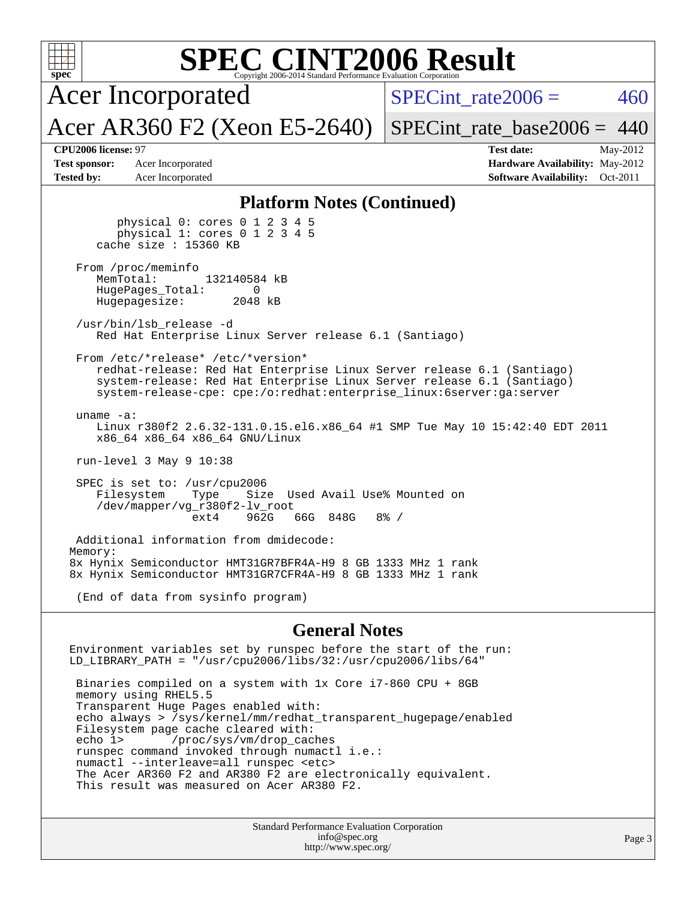| <b>SPEC CINT2006 Result</b><br>spec®<br>Copyright 2006-2014 Standard Performance Evaluation Corporation                                                                                                                                                        |                                                                                                            |  |  |  |  |  |
|----------------------------------------------------------------------------------------------------------------------------------------------------------------------------------------------------------------------------------------------------------------|------------------------------------------------------------------------------------------------------------|--|--|--|--|--|
| <b>Acer Incorporated</b>                                                                                                                                                                                                                                       | $SPECint rate 2006 =$<br>460                                                                               |  |  |  |  |  |
| Acer AR360 F2 (Xeon E5-2640)                                                                                                                                                                                                                                   | $SPECint_rate_base2006 = 440$                                                                              |  |  |  |  |  |
| CPU2006 license: 97<br><b>Test sponsor:</b><br>Acer Incorporated<br><b>Tested by:</b><br>Acer Incorporated                                                                                                                                                     | <b>Test date:</b><br>May-2012<br>Hardware Availability: May-2012<br><b>Software Availability:</b> Oct-2011 |  |  |  |  |  |
| <b>Platform Notes (Continued)</b>                                                                                                                                                                                                                              |                                                                                                            |  |  |  |  |  |
| physical $0:$ cores $0 \ 1 \ 2 \ 3 \ 4 \ 5$<br>physical 1: cores 0 1 2 3 4 5<br>cache size $: 15360$ KB                                                                                                                                                        |                                                                                                            |  |  |  |  |  |
| From /proc/meminfo<br>MemTotal:<br>132140584 kB<br>HugePages_Total:<br>0<br>Hugepagesize:<br>2048 kB                                                                                                                                                           |                                                                                                            |  |  |  |  |  |
| /usr/bin/lsb release -d<br>Red Hat Enterprise Linux Server release 6.1 (Santiago)                                                                                                                                                                              |                                                                                                            |  |  |  |  |  |
| From /etc/*release* /etc/*version*<br>redhat-release: Red Hat Enterprise Linux Server release 6.1 (Santiago)<br>system-release: Red Hat Enterprise Linux Server release 6.1 (Santiago)<br>system-release-cpe: cpe:/o:redhat:enterprise_linux:6server:ga:server |                                                                                                            |  |  |  |  |  |
| uname $-a$ :<br>Linux r380f2 2.6.32-131.0.15.el6.x86_64 #1 SMP Tue May 10 15:42:40 EDT 2011<br>x86_64 x86_64 x86_64 GNU/Linux                                                                                                                                  |                                                                                                            |  |  |  |  |  |
| run-level $3$ May $9$ 10:38                                                                                                                                                                                                                                    |                                                                                                            |  |  |  |  |  |
| SPEC is set to: /usr/cpu2006<br>Filesystem<br>Size Used Avail Use% Mounted on<br>Type<br>/dev/mapper/vg_r380f2-lv_root<br>66G 848G<br>ext4<br>962G<br>$8\frac{3}{6}$ /                                                                                         |                                                                                                            |  |  |  |  |  |
| Additional information from dmidecode:                                                                                                                                                                                                                         |                                                                                                            |  |  |  |  |  |
| Memory:<br>8x Hynix Semiconductor HMT31GR7BFR4A-H9 8 GB 1333 MHz 1 rank<br>8x Hynix Semiconductor HMT31GR7CFR4A-H9 8 GB 1333 MHz 1 rank                                                                                                                        |                                                                                                            |  |  |  |  |  |
| (End of data from sysinfo program)                                                                                                                                                                                                                             |                                                                                                            |  |  |  |  |  |
| <b>General Notes</b>                                                                                                                                                                                                                                           |                                                                                                            |  |  |  |  |  |
| Environment variables set by runspec before the start of the run:<br>LD_LIBRARY_PATH = "/usr/cpu2006/libs/32:/usr/cpu2006/libs/64"                                                                                                                             |                                                                                                            |  |  |  |  |  |
| Binaries compiled on a system with 1x Core i7-860 CPU + 8GB                                                                                                                                                                                                    |                                                                                                            |  |  |  |  |  |

 memory using RHEL5.5 Transparent Huge Pages enabled with: echo always > /sys/kernel/mm/redhat\_transparent\_hugepage/enabled Filesystem page cache cleared with: echo 1> /proc/sys/vm/drop\_caches runspec command invoked through numactl i.e.: numactl --interleave=all runspec <etc> The Acer AR360 F2 and AR380 F2 are electronically equivalent. This result was measured on Acer AR380 F2.

> Standard Performance Evaluation Corporation [info@spec.org](mailto:info@spec.org) <http://www.spec.org/>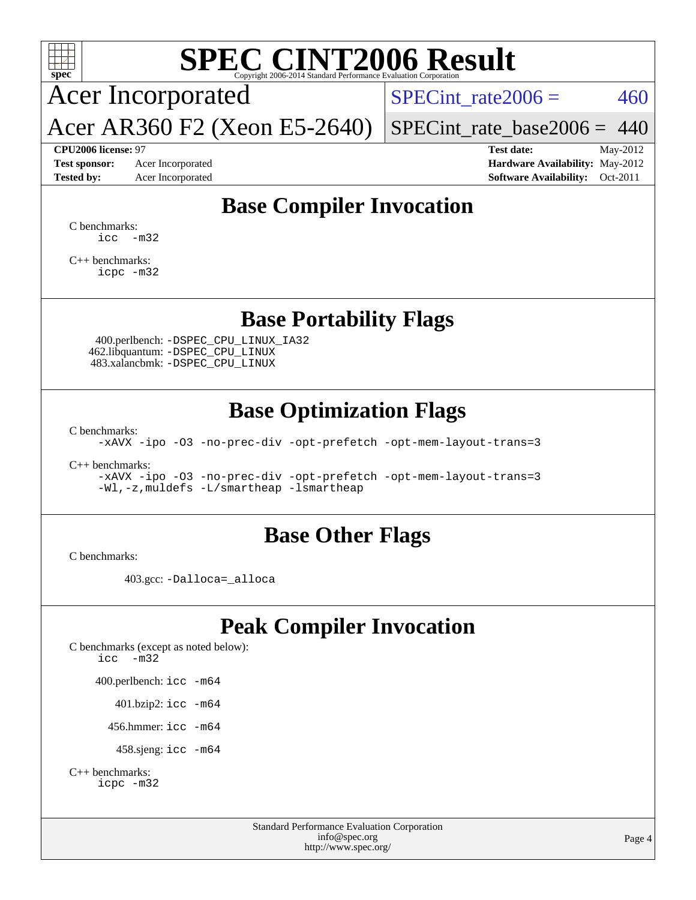

# **[SPEC CINT2006 Result](http://www.spec.org/auto/cpu2006/Docs/result-fields.html#SPECCINT2006Result)**

Acer Incorporated

SPECint rate $2006 = 460$ 

Acer AR360 F2 (Xeon E5-2640)

[SPECint\\_rate\\_base2006 =](http://www.spec.org/auto/cpu2006/Docs/result-fields.html#SPECintratebase2006) 440

**[CPU2006 license:](http://www.spec.org/auto/cpu2006/Docs/result-fields.html#CPU2006license)** 97 **[Test date:](http://www.spec.org/auto/cpu2006/Docs/result-fields.html#Testdate)** May-2012 **[Test sponsor:](http://www.spec.org/auto/cpu2006/Docs/result-fields.html#Testsponsor)** Acer Incorporated **[Hardware Availability:](http://www.spec.org/auto/cpu2006/Docs/result-fields.html#HardwareAvailability)** May-2012 **[Tested by:](http://www.spec.org/auto/cpu2006/Docs/result-fields.html#Testedby)** Acer Incorporated **[Software Availability:](http://www.spec.org/auto/cpu2006/Docs/result-fields.html#SoftwareAvailability)** Oct-2011

# **[Base Compiler Invocation](http://www.spec.org/auto/cpu2006/Docs/result-fields.html#BaseCompilerInvocation)**

[C benchmarks](http://www.spec.org/auto/cpu2006/Docs/result-fields.html#Cbenchmarks):  $\text{icc}$   $-\text{m32}$ 

[C++ benchmarks:](http://www.spec.org/auto/cpu2006/Docs/result-fields.html#CXXbenchmarks) [icpc -m32](http://www.spec.org/cpu2006/results/res2012q3/cpu2006-20120524-22395.flags.html#user_CXXbase_intel_icpc_4e5a5ef1a53fd332b3c49e69c3330699)

### **[Base Portability Flags](http://www.spec.org/auto/cpu2006/Docs/result-fields.html#BasePortabilityFlags)**

 400.perlbench: [-DSPEC\\_CPU\\_LINUX\\_IA32](http://www.spec.org/cpu2006/results/res2012q3/cpu2006-20120524-22395.flags.html#b400.perlbench_baseCPORTABILITY_DSPEC_CPU_LINUX_IA32) 462.libquantum: [-DSPEC\\_CPU\\_LINUX](http://www.spec.org/cpu2006/results/res2012q3/cpu2006-20120524-22395.flags.html#b462.libquantum_baseCPORTABILITY_DSPEC_CPU_LINUX) 483.xalancbmk: [-DSPEC\\_CPU\\_LINUX](http://www.spec.org/cpu2006/results/res2012q3/cpu2006-20120524-22395.flags.html#b483.xalancbmk_baseCXXPORTABILITY_DSPEC_CPU_LINUX)

## **[Base Optimization Flags](http://www.spec.org/auto/cpu2006/Docs/result-fields.html#BaseOptimizationFlags)**

[C benchmarks](http://www.spec.org/auto/cpu2006/Docs/result-fields.html#Cbenchmarks):

[-xAVX](http://www.spec.org/cpu2006/results/res2012q3/cpu2006-20120524-22395.flags.html#user_CCbase_f-xAVX) [-ipo](http://www.spec.org/cpu2006/results/res2012q3/cpu2006-20120524-22395.flags.html#user_CCbase_f-ipo) [-O3](http://www.spec.org/cpu2006/results/res2012q3/cpu2006-20120524-22395.flags.html#user_CCbase_f-O3) [-no-prec-div](http://www.spec.org/cpu2006/results/res2012q3/cpu2006-20120524-22395.flags.html#user_CCbase_f-no-prec-div) [-opt-prefetch](http://www.spec.org/cpu2006/results/res2012q3/cpu2006-20120524-22395.flags.html#user_CCbase_f-opt-prefetch) [-opt-mem-layout-trans=3](http://www.spec.org/cpu2006/results/res2012q3/cpu2006-20120524-22395.flags.html#user_CCbase_f-opt-mem-layout-trans_a7b82ad4bd7abf52556d4961a2ae94d5)

[C++ benchmarks:](http://www.spec.org/auto/cpu2006/Docs/result-fields.html#CXXbenchmarks)

[-xAVX](http://www.spec.org/cpu2006/results/res2012q3/cpu2006-20120524-22395.flags.html#user_CXXbase_f-xAVX) [-ipo](http://www.spec.org/cpu2006/results/res2012q3/cpu2006-20120524-22395.flags.html#user_CXXbase_f-ipo) [-O3](http://www.spec.org/cpu2006/results/res2012q3/cpu2006-20120524-22395.flags.html#user_CXXbase_f-O3) [-no-prec-div](http://www.spec.org/cpu2006/results/res2012q3/cpu2006-20120524-22395.flags.html#user_CXXbase_f-no-prec-div) [-opt-prefetch](http://www.spec.org/cpu2006/results/res2012q3/cpu2006-20120524-22395.flags.html#user_CXXbase_f-opt-prefetch) [-opt-mem-layout-trans=3](http://www.spec.org/cpu2006/results/res2012q3/cpu2006-20120524-22395.flags.html#user_CXXbase_f-opt-mem-layout-trans_a7b82ad4bd7abf52556d4961a2ae94d5) [-Wl,-z,muldefs](http://www.spec.org/cpu2006/results/res2012q3/cpu2006-20120524-22395.flags.html#user_CXXbase_link_force_multiple1_74079c344b956b9658436fd1b6dd3a8a) [-L/smartheap -lsmartheap](http://www.spec.org/cpu2006/results/res2012q3/cpu2006-20120524-22395.flags.html#user_CXXbase_SmartHeap_7c9e394a5779e1a7fec7c221e123830c)

#### **[Base Other Flags](http://www.spec.org/auto/cpu2006/Docs/result-fields.html#BaseOtherFlags)**

[C benchmarks](http://www.spec.org/auto/cpu2006/Docs/result-fields.html#Cbenchmarks):

403.gcc: [-Dalloca=\\_alloca](http://www.spec.org/cpu2006/results/res2012q3/cpu2006-20120524-22395.flags.html#b403.gcc_baseEXTRA_CFLAGS_Dalloca_be3056838c12de2578596ca5467af7f3)

# **[Peak Compiler Invocation](http://www.spec.org/auto/cpu2006/Docs/result-fields.html#PeakCompilerInvocation)**

[C benchmarks \(except as noted below\)](http://www.spec.org/auto/cpu2006/Docs/result-fields.html#Cbenchmarksexceptasnotedbelow): [icc -m32](http://www.spec.org/cpu2006/results/res2012q3/cpu2006-20120524-22395.flags.html#user_CCpeak_intel_icc_5ff4a39e364c98233615fdd38438c6f2) 400.perlbench: [icc -m64](http://www.spec.org/cpu2006/results/res2012q3/cpu2006-20120524-22395.flags.html#user_peakCCLD400_perlbench_intel_icc_64bit_bda6cc9af1fdbb0edc3795bac97ada53) 401.bzip2: [icc -m64](http://www.spec.org/cpu2006/results/res2012q3/cpu2006-20120524-22395.flags.html#user_peakCCLD401_bzip2_intel_icc_64bit_bda6cc9af1fdbb0edc3795bac97ada53)

456.hmmer: [icc -m64](http://www.spec.org/cpu2006/results/res2012q3/cpu2006-20120524-22395.flags.html#user_peakCCLD456_hmmer_intel_icc_64bit_bda6cc9af1fdbb0edc3795bac97ada53)

458.sjeng: [icc -m64](http://www.spec.org/cpu2006/results/res2012q3/cpu2006-20120524-22395.flags.html#user_peakCCLD458_sjeng_intel_icc_64bit_bda6cc9af1fdbb0edc3795bac97ada53)

```
C++ benchmarks: 
    icpc -m32
```
Standard Performance Evaluation Corporation [info@spec.org](mailto:info@spec.org) <http://www.spec.org/>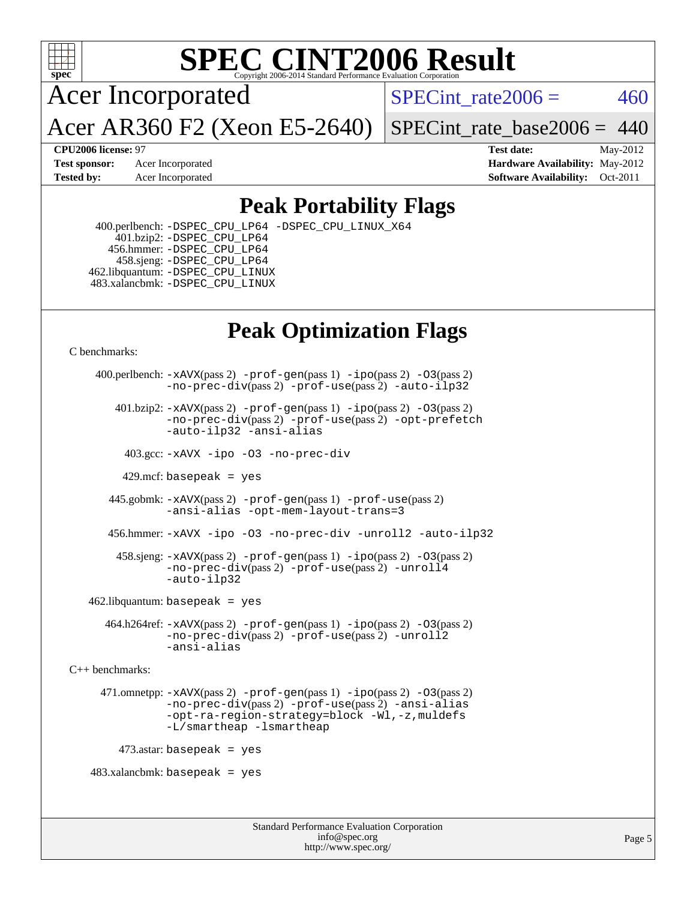

# **[SPEC CINT2006 Result](http://www.spec.org/auto/cpu2006/Docs/result-fields.html#SPECCINT2006Result)**

Acer Incorporated

SPECint rate $2006 = 460$ 

Acer AR360 F2 (Xeon E5-2640)

 $SPECTnt_rate_base2006 = 440$ 

**[CPU2006 license:](http://www.spec.org/auto/cpu2006/Docs/result-fields.html#CPU2006license)** 97 **[Test date:](http://www.spec.org/auto/cpu2006/Docs/result-fields.html#Testdate)** May-2012 **[Test sponsor:](http://www.spec.org/auto/cpu2006/Docs/result-fields.html#Testsponsor)** Acer Incorporated **[Hardware Availability:](http://www.spec.org/auto/cpu2006/Docs/result-fields.html#HardwareAvailability)** May-2012 **[Tested by:](http://www.spec.org/auto/cpu2006/Docs/result-fields.html#Testedby)** Acer Incorporated **[Software Availability:](http://www.spec.org/auto/cpu2006/Docs/result-fields.html#SoftwareAvailability)** Oct-2011

## **[Peak Portability Flags](http://www.spec.org/auto/cpu2006/Docs/result-fields.html#PeakPortabilityFlags)**

 400.perlbench: [-DSPEC\\_CPU\\_LP64](http://www.spec.org/cpu2006/results/res2012q3/cpu2006-20120524-22395.flags.html#b400.perlbench_peakCPORTABILITY_DSPEC_CPU_LP64) [-DSPEC\\_CPU\\_LINUX\\_X64](http://www.spec.org/cpu2006/results/res2012q3/cpu2006-20120524-22395.flags.html#b400.perlbench_peakCPORTABILITY_DSPEC_CPU_LINUX_X64) 401.bzip2: [-DSPEC\\_CPU\\_LP64](http://www.spec.org/cpu2006/results/res2012q3/cpu2006-20120524-22395.flags.html#suite_peakCPORTABILITY401_bzip2_DSPEC_CPU_LP64) 456.hmmer: [-DSPEC\\_CPU\\_LP64](http://www.spec.org/cpu2006/results/res2012q3/cpu2006-20120524-22395.flags.html#suite_peakCPORTABILITY456_hmmer_DSPEC_CPU_LP64) 458.sjeng: [-DSPEC\\_CPU\\_LP64](http://www.spec.org/cpu2006/results/res2012q3/cpu2006-20120524-22395.flags.html#suite_peakCPORTABILITY458_sjeng_DSPEC_CPU_LP64) 462.libquantum: [-DSPEC\\_CPU\\_LINUX](http://www.spec.org/cpu2006/results/res2012q3/cpu2006-20120524-22395.flags.html#b462.libquantum_peakCPORTABILITY_DSPEC_CPU_LINUX) 483.xalancbmk: [-DSPEC\\_CPU\\_LINUX](http://www.spec.org/cpu2006/results/res2012q3/cpu2006-20120524-22395.flags.html#b483.xalancbmk_peakCXXPORTABILITY_DSPEC_CPU_LINUX)

# **[Peak Optimization Flags](http://www.spec.org/auto/cpu2006/Docs/result-fields.html#PeakOptimizationFlags)**

[C benchmarks](http://www.spec.org/auto/cpu2006/Docs/result-fields.html#Cbenchmarks):

```
 400.perlbench: -xAVX(pass 2) -prof-gen(pass 1) -ipo(pass 2) -O3(pass 2)
                -no-prec-div(pass 2) -prof-use(pass 2) -auto-ilp32
        401.bzip2: -xAVX(pass 2) -prof-gen(pass 1) -ipo(pass 2) -O3(pass 2)
                -no-prec-div(pass 2) -prof-use(pass 2) -opt-prefetch
                -auto-ilp32 -ansi-alias
          403.gcc: -xAVX -ipo -O3 -no-prec-div
         429.mcf: basepeak = yes
       445.gobmk: -xAVX(pass 2) -prof-gen(pass 1) -prof-use(pass 2)
                -ansi-alias -opt-mem-layout-trans=3
       456.hmmer: -xAVX -ipo -O3 -no-prec-div -unroll2 -auto-ilp32
         458.sjeng: -xAVX(pass 2) -prof-gen(pass 1) -ipo(pass 2) -O3(pass 2)
                -no-prec-div(pass 2) -prof-use(pass 2) -unroll4
                -auto-ilp32
   462.libquantum: basepeak = yes
       464.h264ref: -xAVX(pass 2) -prof-gen(pass 1) -ipo(pass 2) -O3(pass 2)
                -no-prec-div(pass 2) -prof-use(pass 2) -unroll2
                -ansi-alias
C++ benchmarks: 
      471.omnetpp: -xAVX(pass 2) -prof-gen(pass 1) -ipo(pass 2) -O3(pass 2)
                -no-prec-div(pass 2) -prof-use(pass 2) -ansi-alias
                -opt-ra-region-strategy=block -Wl,-z,muldefs
                -L/smartheap -lsmartheap
        473.astar: basepeak = yes
   483.xalanchmk: basepeak = yes
```